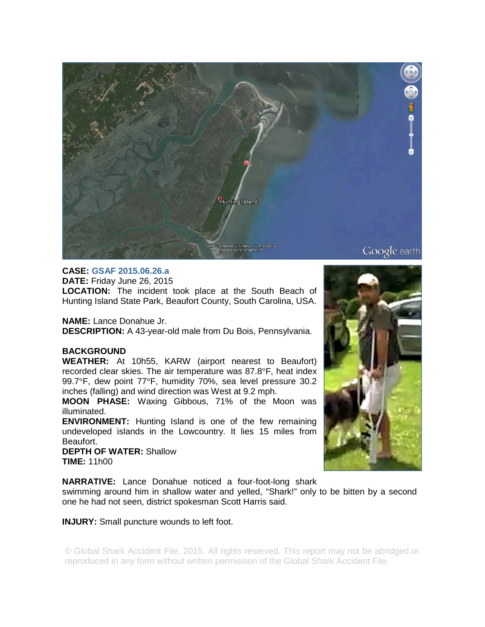

## **CASE: GSAF 2015.06.26.a**

**DATE:** Friday June 26, 2015 **LOCATION:** The incident took place at the South Beach of Hunting Island State Park, Beaufort County, South Carolina, USA.

**NAME:** Lance Donahue Jr. **DESCRIPTION:** A 43-year-old male from Du Bois, Pennsylvania.

## **BACKGROUND**

**WEATHER:** At 10h55, KARW (airport nearest to Beaufort) recorded clear skies. The air temperature was 87.8°F, heat index 99.7°F, dew point 77°F, humidity 70%, sea level pressure 30.2 inches (falling) and wind direction was West at 9.2 mph.

**MOON PHASE:** Waxing Gibbous, 71% of the Moon was illuminated.

**ENVIRONMENT:** Hunting Island is one of the few remaining undeveloped islands in the Lowcountry. It lies 15 miles from Beaufort.

**DEPTH OF WATER:** Shallow **TIME:** 11h00

**NARRATIVE:** Lance Donahue noticed a four-foot-long shark

swimming around him in shallow water and yelled, "Shark!" only to be bitten by a second one he had not seen, district spokesman Scott Harris said.

## **INJURY:** Small puncture wounds to left foot.

© Global Shark Accident File, 2015. All rights reserved. This report may not be abridged or reproduced in any form without written permission of the Global Shark Accident File.